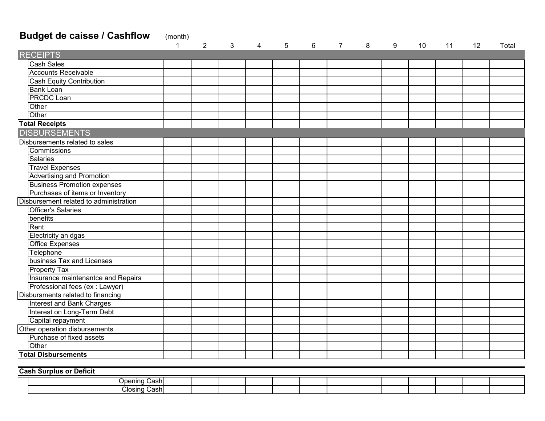## **Budget de caisse / Cashflow** (month)

|                                        | $\mathbf{1}$ | $\overline{2}$ | 3 | 4 | 5 | 6 | $\overline{7}$ | 8 | 9 | 10 | 11 | 12 | Total |
|----------------------------------------|--------------|----------------|---|---|---|---|----------------|---|---|----|----|----|-------|
| <b>RECEIPTS</b>                        |              |                |   |   |   |   |                |   |   |    |    |    |       |
| <b>Cash Sales</b>                      |              |                |   |   |   |   |                |   |   |    |    |    |       |
| <b>Accounts Receivable</b>             |              |                |   |   |   |   |                |   |   |    |    |    |       |
| <b>Cash Equity Contribution</b>        |              |                |   |   |   |   |                |   |   |    |    |    |       |
| <b>Bank Loan</b>                       |              |                |   |   |   |   |                |   |   |    |    |    |       |
| <b>PRCDC</b> Loan                      |              |                |   |   |   |   |                |   |   |    |    |    |       |
| Other                                  |              |                |   |   |   |   |                |   |   |    |    |    |       |
| Other                                  |              |                |   |   |   |   |                |   |   |    |    |    |       |
| <b>Total Receipts</b>                  |              |                |   |   |   |   |                |   |   |    |    |    |       |
| <b>DISBURSEMENTS</b>                   |              |                |   |   |   |   |                |   |   |    |    |    |       |
| Disbursements related to sales         |              |                |   |   |   |   |                |   |   |    |    |    |       |
| Commissions                            |              |                |   |   |   |   |                |   |   |    |    |    |       |
| <b>Salaries</b>                        |              |                |   |   |   |   |                |   |   |    |    |    |       |
| <b>Travel Expenses</b>                 |              |                |   |   |   |   |                |   |   |    |    |    |       |
| <b>Advertising and Promotion</b>       |              |                |   |   |   |   |                |   |   |    |    |    |       |
| <b>Business Promotion expenses</b>     |              |                |   |   |   |   |                |   |   |    |    |    |       |
| Purchases of items or Inventory        |              |                |   |   |   |   |                |   |   |    |    |    |       |
| Disbursement related to administration |              |                |   |   |   |   |                |   |   |    |    |    |       |
| <b>Officer's Salaries</b>              |              |                |   |   |   |   |                |   |   |    |    |    |       |
| benefits                               |              |                |   |   |   |   |                |   |   |    |    |    |       |
| Rent                                   |              |                |   |   |   |   |                |   |   |    |    |    |       |
| Electricity an dgas                    |              |                |   |   |   |   |                |   |   |    |    |    |       |
| Office Expenses                        |              |                |   |   |   |   |                |   |   |    |    |    |       |
| Telephone                              |              |                |   |   |   |   |                |   |   |    |    |    |       |
| business Tax and Licenses              |              |                |   |   |   |   |                |   |   |    |    |    |       |
| Property Tax                           |              |                |   |   |   |   |                |   |   |    |    |    |       |
| Insurance maintenantce and Repairs     |              |                |   |   |   |   |                |   |   |    |    |    |       |
| Professional fees (ex : Lawyer)        |              |                |   |   |   |   |                |   |   |    |    |    |       |
| Disbursments related to financing      |              |                |   |   |   |   |                |   |   |    |    |    |       |
| Interest and Bank Charges              |              |                |   |   |   |   |                |   |   |    |    |    |       |
| Interest on Long-Term Debt             |              |                |   |   |   |   |                |   |   |    |    |    |       |
| Capital repayment                      |              |                |   |   |   |   |                |   |   |    |    |    |       |
| Other operation disbursements          |              |                |   |   |   |   |                |   |   |    |    |    |       |
| Purchase of fixed assets               |              |                |   |   |   |   |                |   |   |    |    |    |       |
| Other                                  |              |                |   |   |   |   |                |   |   |    |    |    |       |
| <b>Total Disbursements</b>             |              |                |   |   |   |   |                |   |   |    |    |    |       |

**Cash Surplus or Deficit**

| `och.<br><b>D</b> nening     |  |  |  |  |  |  |  |
|------------------------------|--|--|--|--|--|--|--|
| <b>.</b><br>_losinc<br>شcash |  |  |  |  |  |  |  |